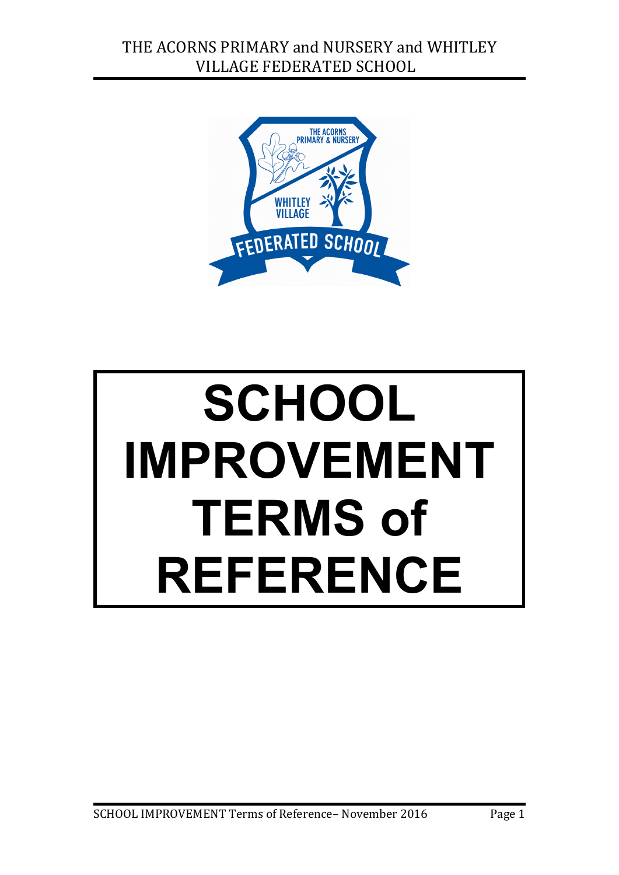

# **SCHOOL IMPROVEMENT TERMS of REFERENCE**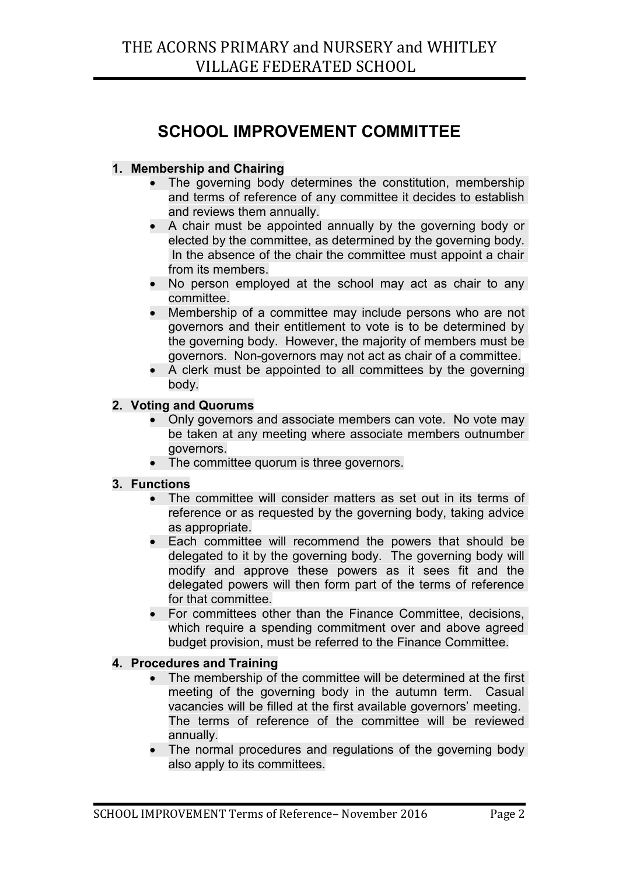### **SCHOOL IMPROVEMENT COMMITTEE**

#### **1. Membership and Chairing**

- The governing body determines the constitution, membership and terms of reference of any committee it decides to establish and reviews them annually.
- A chair must be appointed annually by the governing body or elected by the committee, as determined by the governing body. In the absence of the chair the committee must appoint a chair from its members.
- No person employed at the school may act as chair to any committee.
- Membership of a committee may include persons who are not governors and their entitlement to vote is to be determined by the governing body. However, the majority of members must be governors. Non-governors may not act as chair of a committee.
- A clerk must be appointed to all committees by the governing body.

#### **2. Voting and Quorums**

- Only governors and associate members can vote. No vote may be taken at any meeting where associate members outnumber governors.
- The committee quorum is three governors.

#### **3. Functions**

- The committee will consider matters as set out in its terms of reference or as requested by the governing body, taking advice as appropriate.
- Each committee will recommend the powers that should be delegated to it by the governing body. The governing body will modify and approve these powers as it sees fit and the delegated powers will then form part of the terms of reference for that committee.
- For committees other than the Finance Committee, decisions, which require a spending commitment over and above agreed budget provision, must be referred to the Finance Committee.

#### **4. Procedures and Training**

- The membership of the committee will be determined at the first meeting of the governing body in the autumn term. Casual vacancies will be filled at the first available governors' meeting. The terms of reference of the committee will be reviewed annually.
- The normal procedures and regulations of the governing body also apply to its committees.